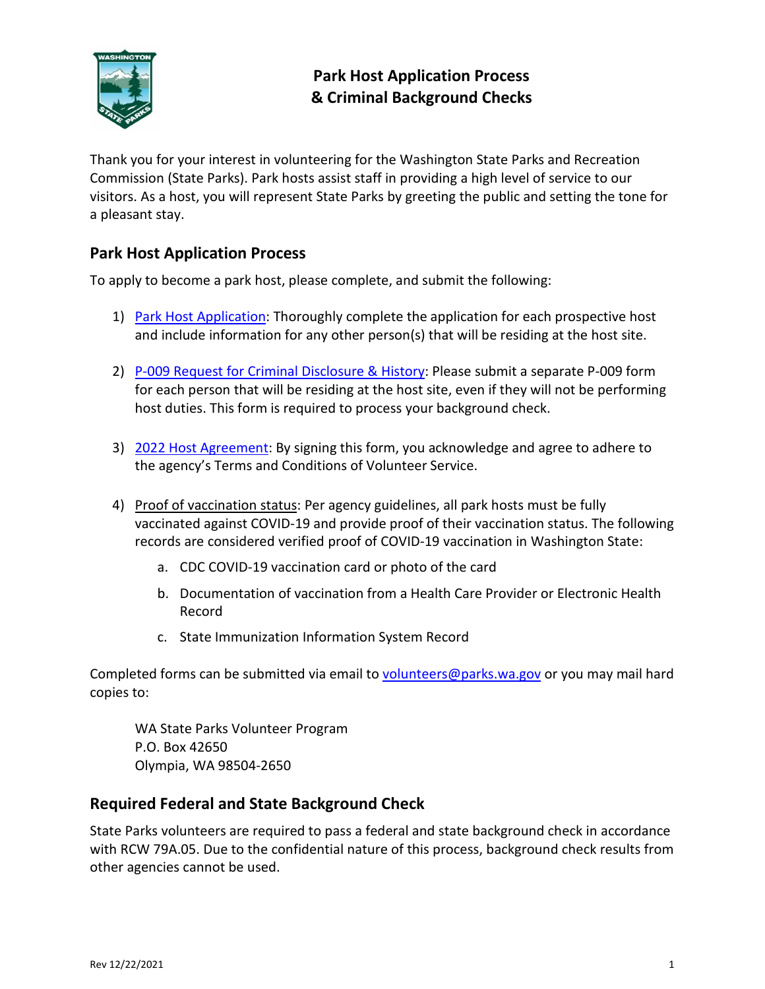

Thank you for your interest in volunteering for the Washington State Parks and Recreation Commission (State Parks). Park hosts assist staff in providing a high level of service to our visitors. As a host, you will represent State Parks by greeting the public and setting the tone for a pleasant stay.

## **Park Host Application Process**

To apply to become a park host, please complete, and submit the following:

- 1) Park Host [Application:](https://parks.state.wa.us/DocumentCenter/View/17364/A-171-Park-Host-Application) Thoroughly complete the application for each prospective host and include information for any other person(s) that will be residing at the host site.
- 2) [P-009 Request for Criminal Disclosure & History:](https://parks.state.wa.us/DocumentCenter/View/15498/P-009-Request-for-Criminal-Disclosure-History) Please submit a separate P-009 form for each person that will be residing at the host site, even if they will not be performing host duties. This form is required to process your background check.
- 3) 2022 [Host Agreement:](https://www.parks.state.wa.us/DocumentCenter/View/17852/2022-Host-Agreement) By signing this form, you acknowledge and agree to adhere to the agency's Terms and Conditions of Volunteer Service.
- 4) Proof of vaccination status: Per agency guidelines, all park hosts must be fully vaccinated against COVID-19 and provide proof of their vaccination status. The following records are considered verified proof of COVID-19 vaccination in Washington State:
	- a. CDC COVID-19 vaccination card or photo of the card
	- b. Documentation of vaccination from a Health Care Provider or Electronic Health Record
	- c. State Immunization Information System Record

Completed forms can be submitted via email to [volunteers@parks.wa.gov](mailto:volunteers@parks.wa.gov) or you may mail hard copies to:

WA State Parks Volunteer Program P.O. Box 42650 Olympia, WA 98504-2650

## **Required Federal and State Background Check**

State Parks volunteers are required to pass a federal and state background check in accordance with RCW 79A.05. Due to the confidential nature of this process, background check results from other agencies cannot be used.